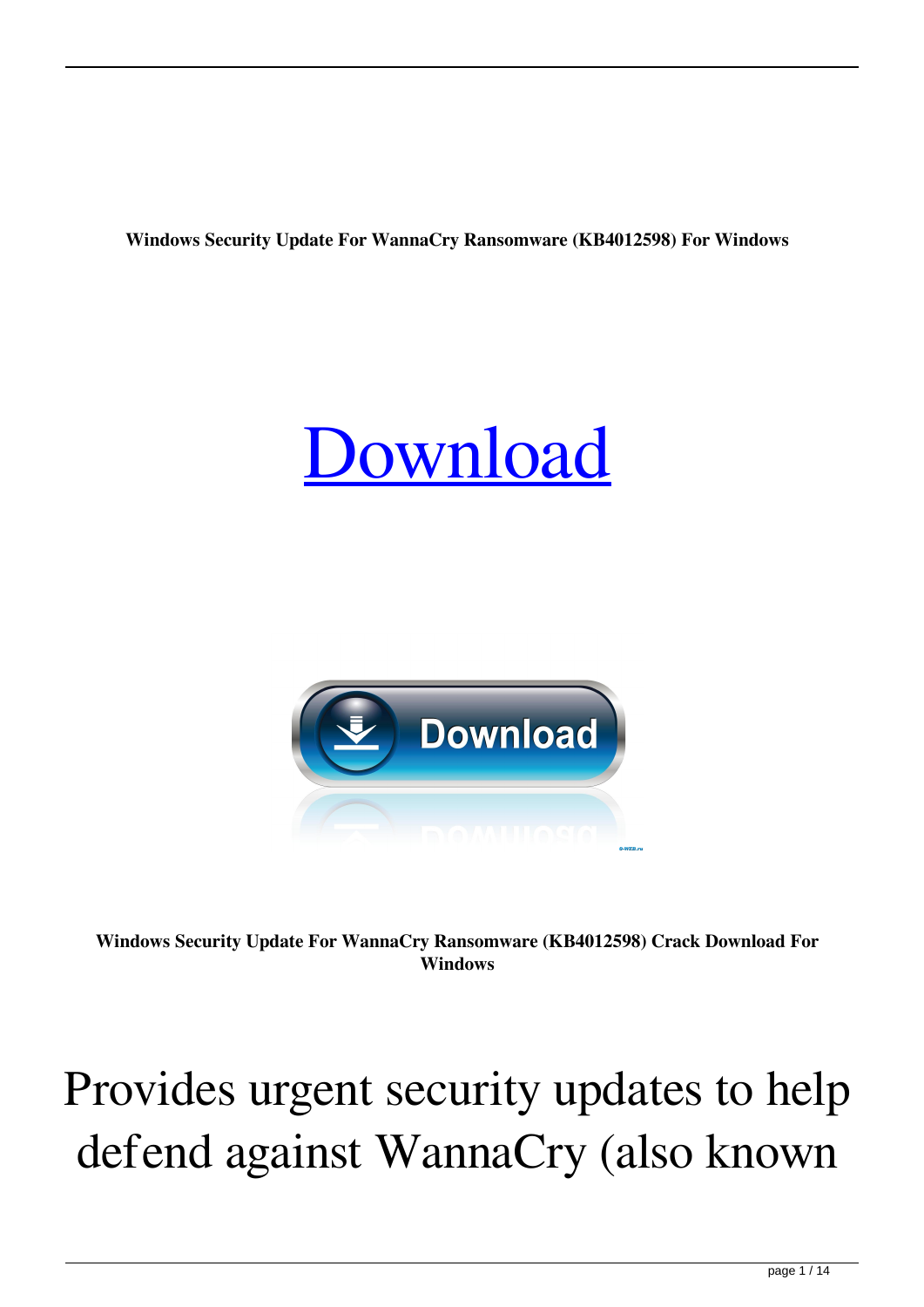**Windows Security Update For WannaCry Ransomware (KB4012598) For Windows**





**Windows Security Update For WannaCry Ransomware (KB4012598) Crack Download For Windows**

## Provides urgent security updates to help defend against WannaCry (also known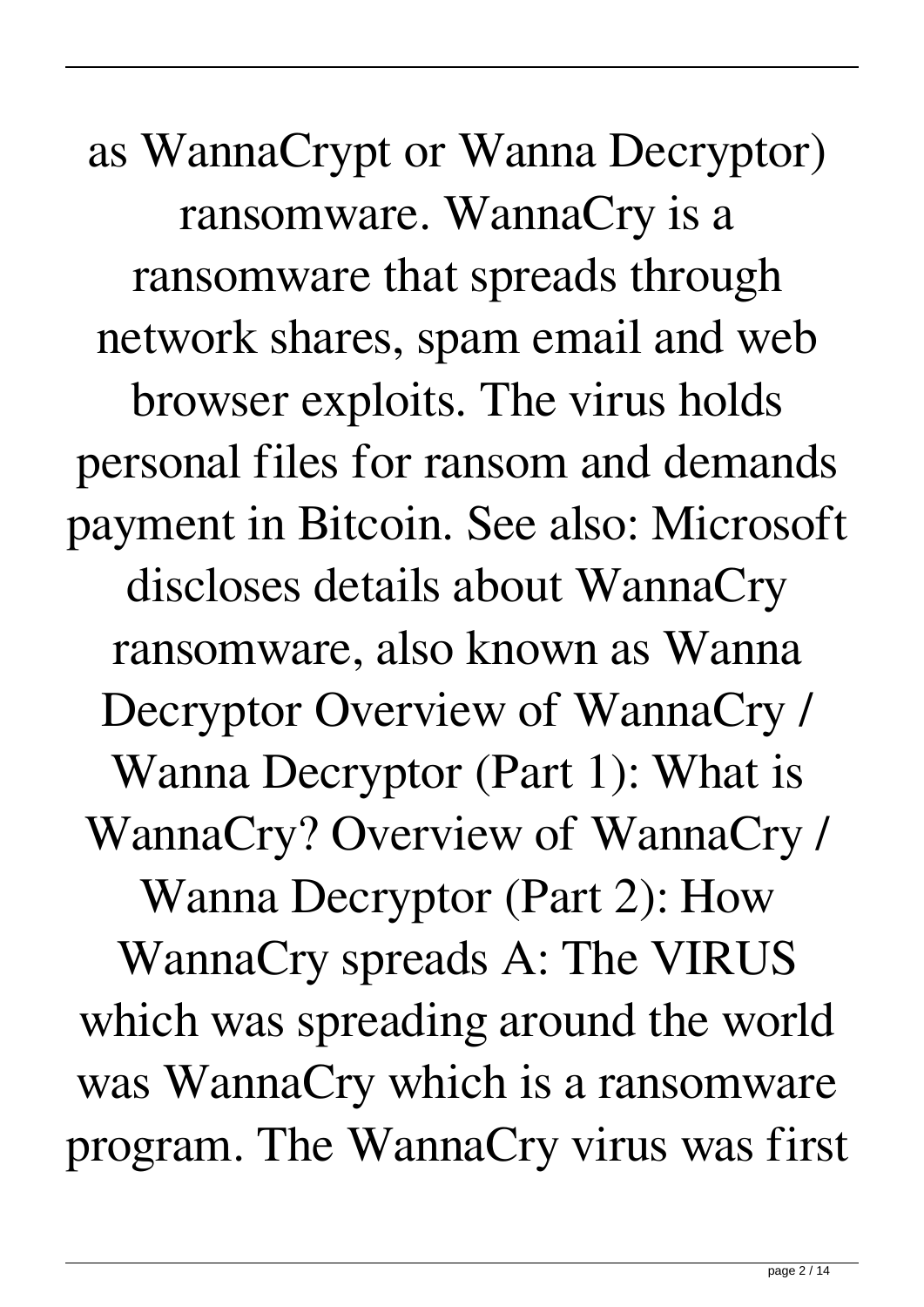as WannaCrypt or Wanna Decryptor) ransomware. WannaCry is a ransomware that spreads through network shares, spam email and web browser exploits. The virus holds personal files for ransom and demands payment in Bitcoin. See also: Microsoft discloses details about WannaCry ransomware, also known as Wanna Decryptor Overview of WannaCry / Wanna Decryptor (Part 1): What is WannaCry? Overview of WannaCry / Wanna Decryptor (Part 2): How WannaCry spreads A: The VIRUS which was spreading around the world was WannaCry which is a ransomware program. The WannaCry virus was first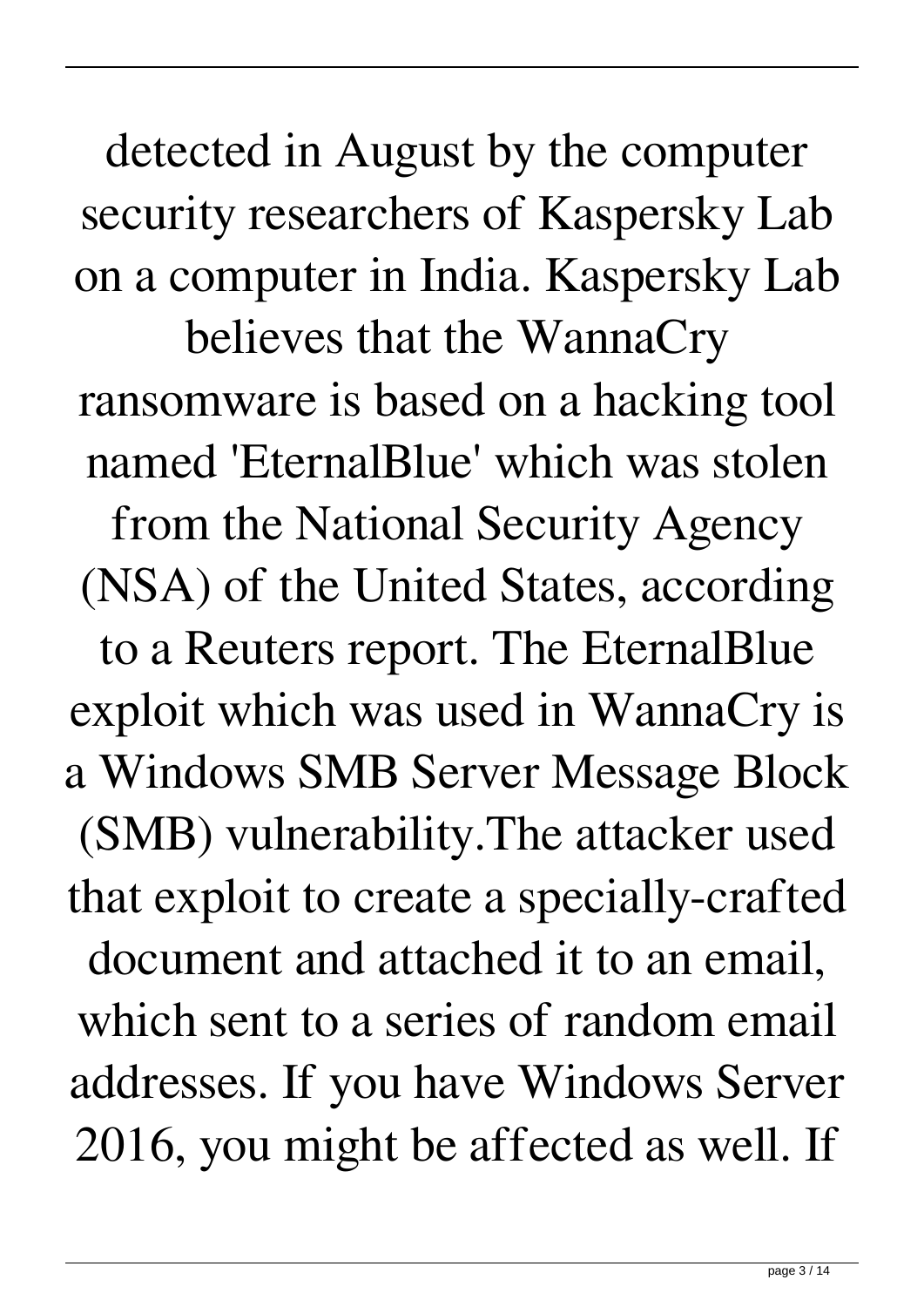detected in August by the computer security researchers of Kaspersky Lab on a computer in India. Kaspersky Lab believes that the WannaCry ransomware is based on a hacking tool named 'EternalBlue' which was stolen from the National Security Agency (NSA) of the United States, according to a Reuters report. The EternalBlue exploit which was used in WannaCry is a Windows SMB Server Message Block (SMB) vulnerability.The attacker used that exploit to create a specially-crafted document and attached it to an email, which sent to a series of random email addresses. If you have Windows Server 2016, you might be affected as well. If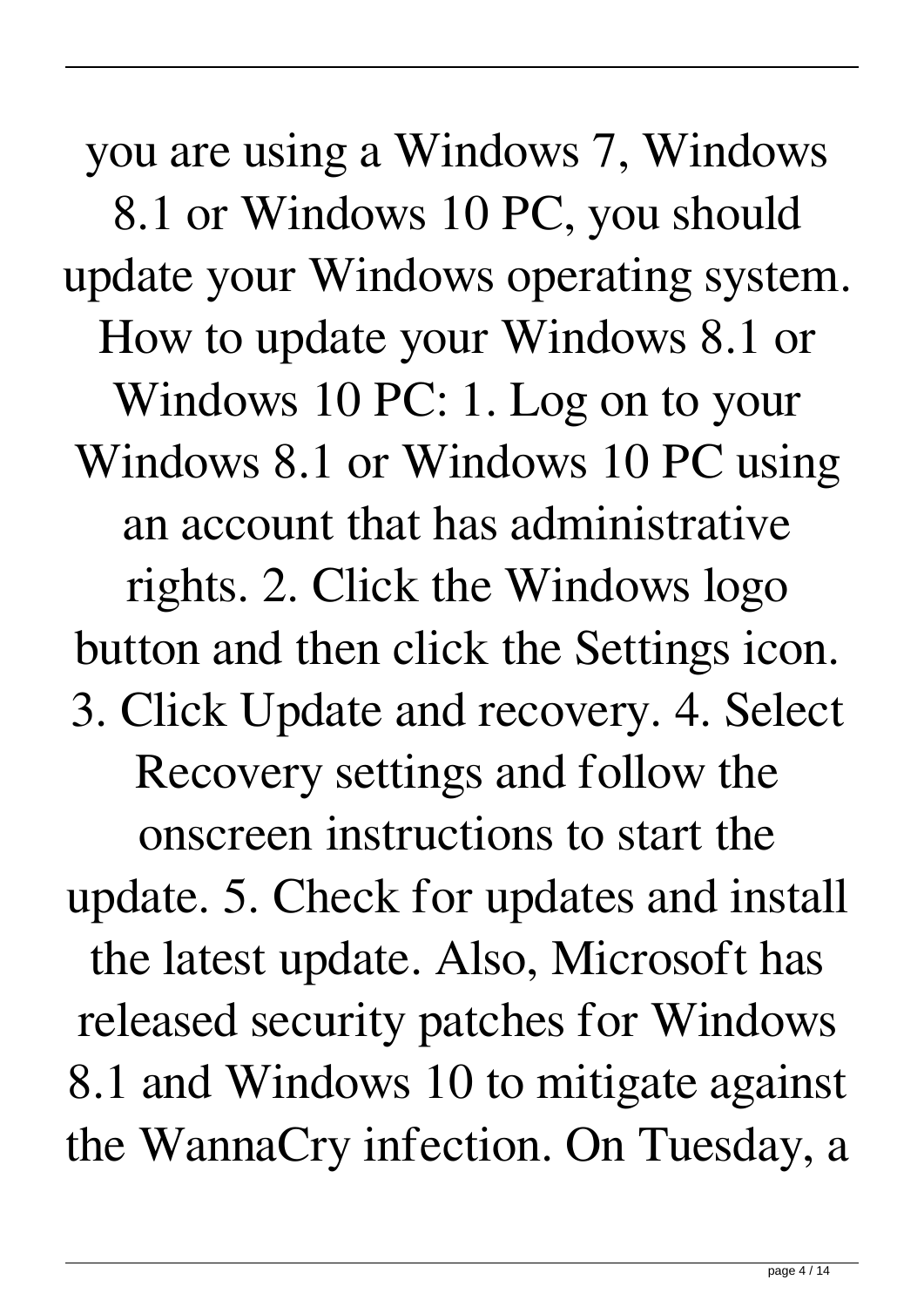you are using a Windows 7, Windows 8.1 or Windows 10 PC, you should update your Windows operating system. How to update your Windows 8.1 or Windows 10 PC: 1. Log on to your Windows 8.1 or Windows 10 PC using an account that has administrative rights. 2. Click the Windows logo button and then click the Settings icon. 3. Click Update and recovery. 4. Select Recovery settings and follow the onscreen instructions to start the update. 5. Check for updates and install the latest update. Also, Microsoft has released security patches for Windows 8.1 and Windows 10 to mitigate against the WannaCry infection. On Tuesday, a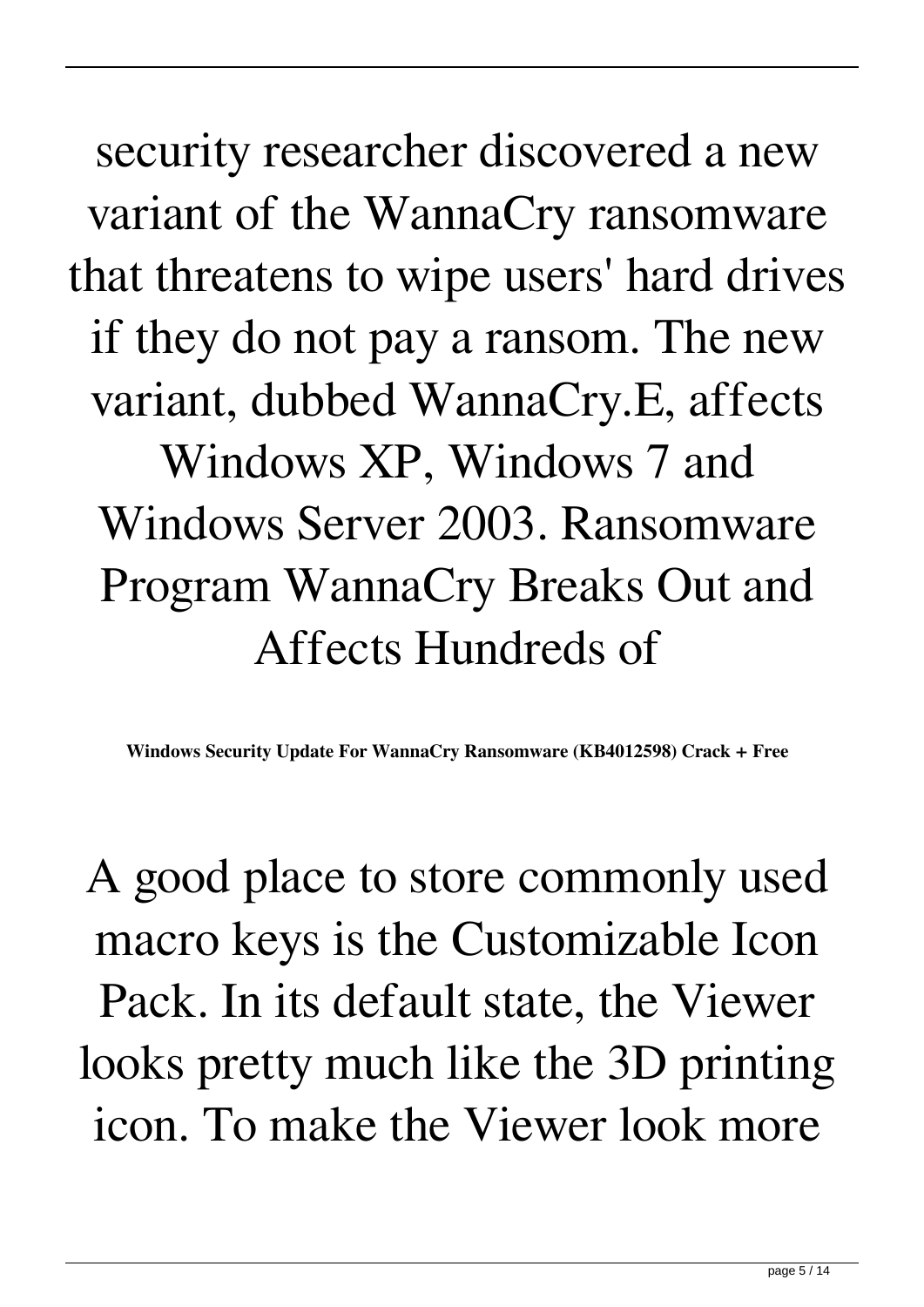security researcher discovered a new variant of the WannaCry ransomware that threatens to wipe users' hard drives if they do not pay a ransom. The new variant, dubbed WannaCry.E, affects Windows XP, Windows 7 and Windows Server 2003. Ransomware Program WannaCry Breaks Out and Affects Hundreds of

**Windows Security Update For WannaCry Ransomware (KB4012598) Crack + Free**

A good place to store commonly used macro keys is the Customizable Icon Pack. In its default state, the Viewer looks pretty much like the 3D printing icon. To make the Viewer look more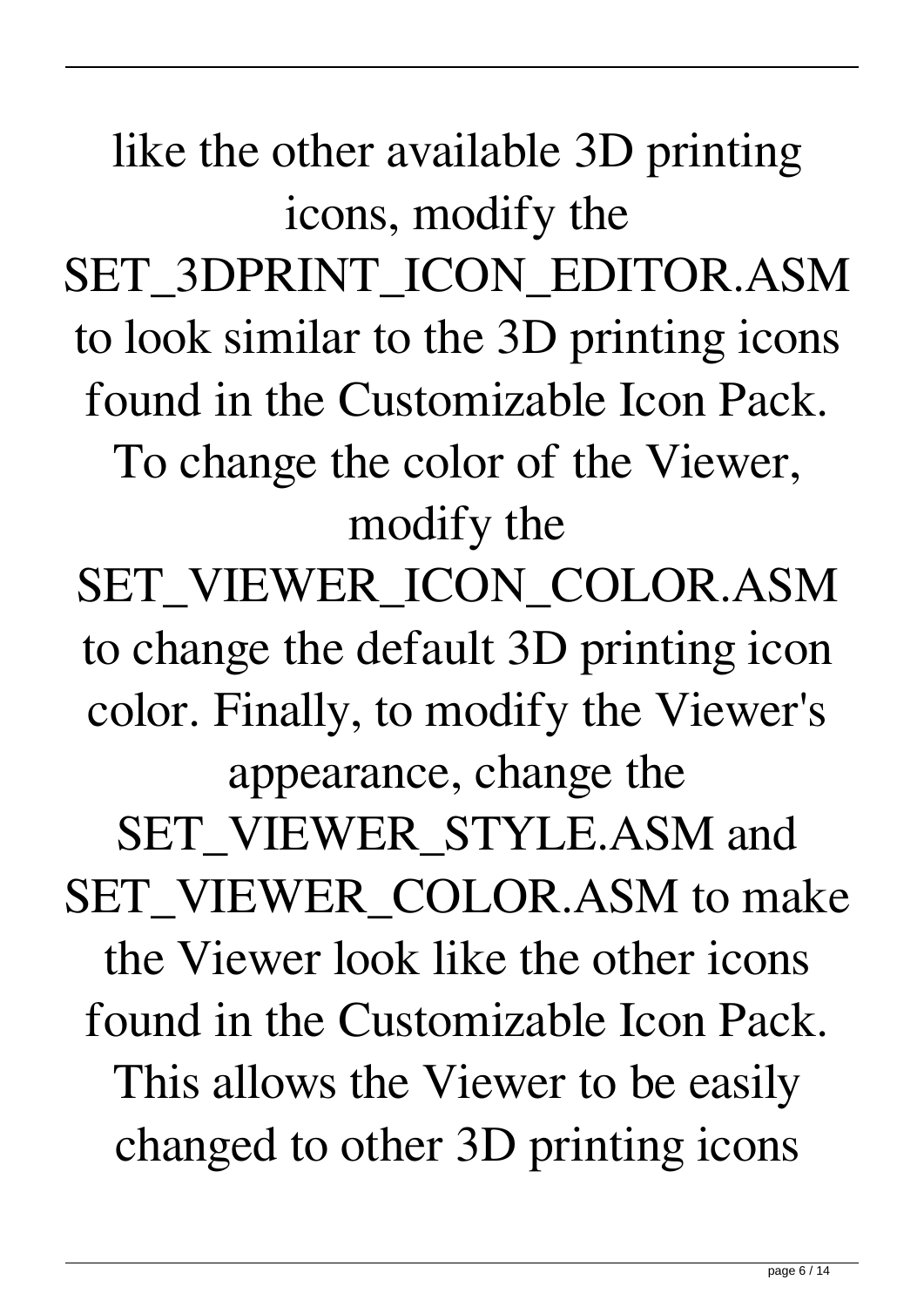like the other available 3D printing icons, modify the SET\_3DPRINT\_ICON\_EDITOR.ASM to look similar to the 3D printing icons found in the Customizable Icon Pack. To change the color of the Viewer, modify the SET\_VIEWER\_ICON\_COLOR.ASM to change the default 3D printing icon color. Finally, to modify the Viewer's appearance, change the SET\_VIEWER\_STYLE.ASM and SET\_VIEWER\_COLOR.ASM to make the Viewer look like the other icons found in the Customizable Icon Pack. This allows the Viewer to be easily changed to other 3D printing icons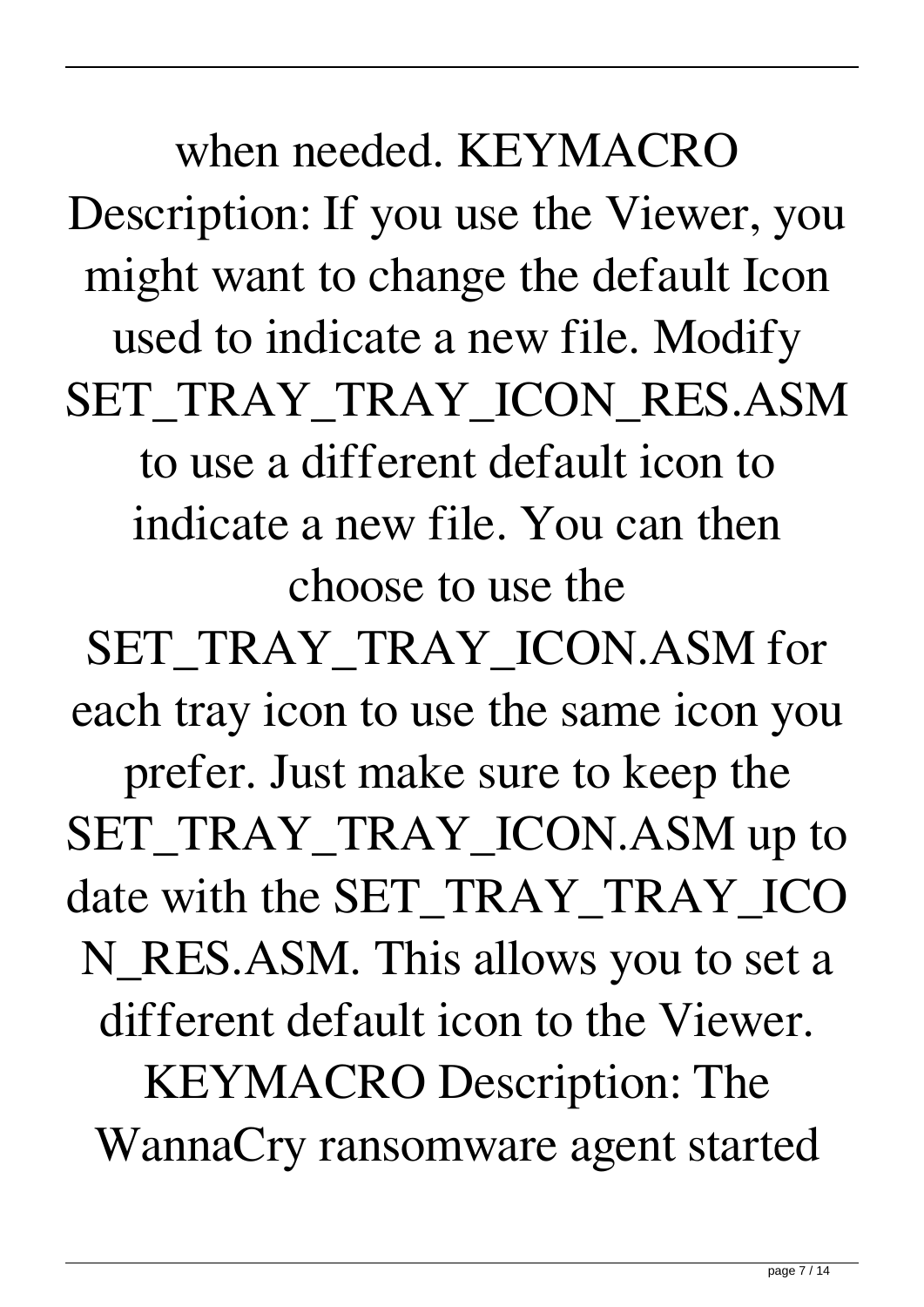when needed. KEYMACRO Description: If you use the Viewer, you might want to change the default Icon used to indicate a new file. Modify SET\_TRAY\_TRAY\_ICON\_RES.ASM to use a different default icon to indicate a new file. You can then choose to use the

SET\_TRAY\_TRAY\_ICON.ASM for each tray icon to use the same icon you prefer. Just make sure to keep the SET\_TRAY\_TRAY\_ICON.ASM up to date with the SET\_TRAY\_TRAY\_ICO N\_RES.ASM. This allows you to set a different default icon to the Viewer. KEYMACRO Description: The WannaCry ransomware agent started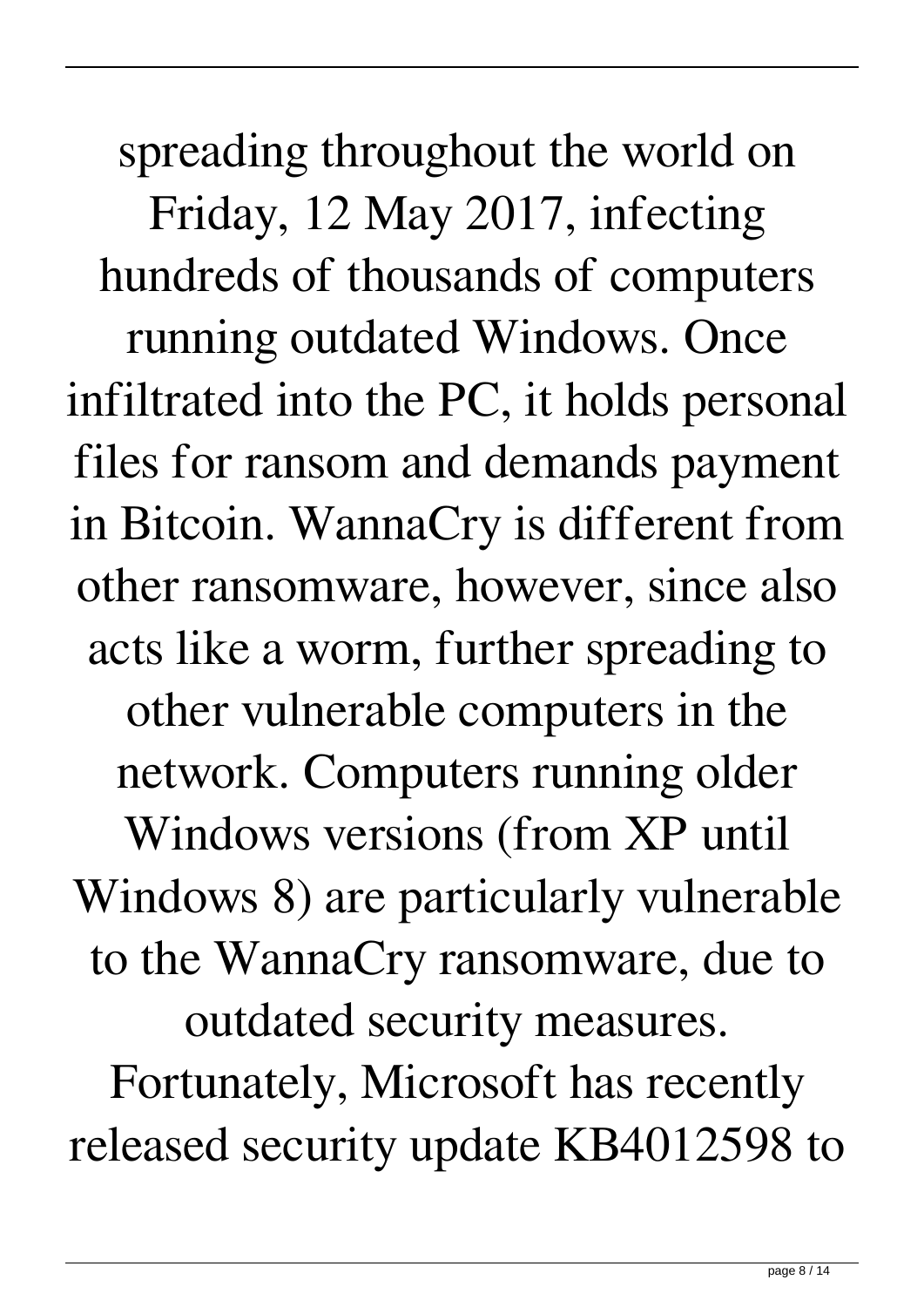spreading throughout the world on Friday, 12 May 2017, infecting hundreds of thousands of computers running outdated Windows. Once infiltrated into the PC, it holds personal files for ransom and demands payment in Bitcoin. WannaCry is different from other ransomware, however, since also acts like a worm, further spreading to other vulnerable computers in the network. Computers running older Windows versions (from XP until Windows 8) are particularly vulnerable to the WannaCry ransomware, due to outdated security measures. Fortunately, Microsoft has recently released security update KB4012598 to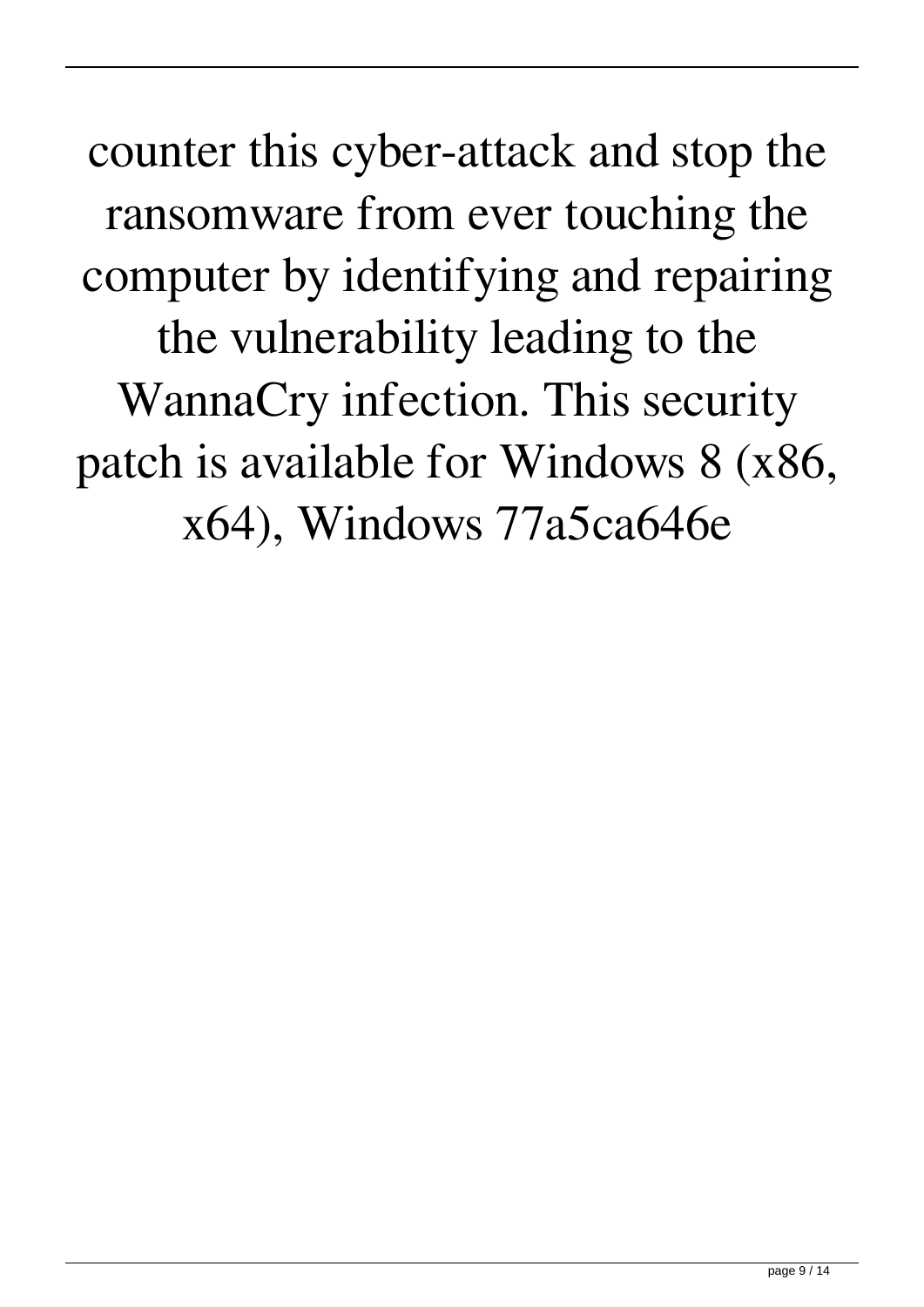counter this cyber-attack and stop the ransomware from ever touching the computer by identifying and repairing the vulnerability leading to the WannaCry infection. This security patch is available for Windows 8 (x86, x64), Windows 77a5ca646e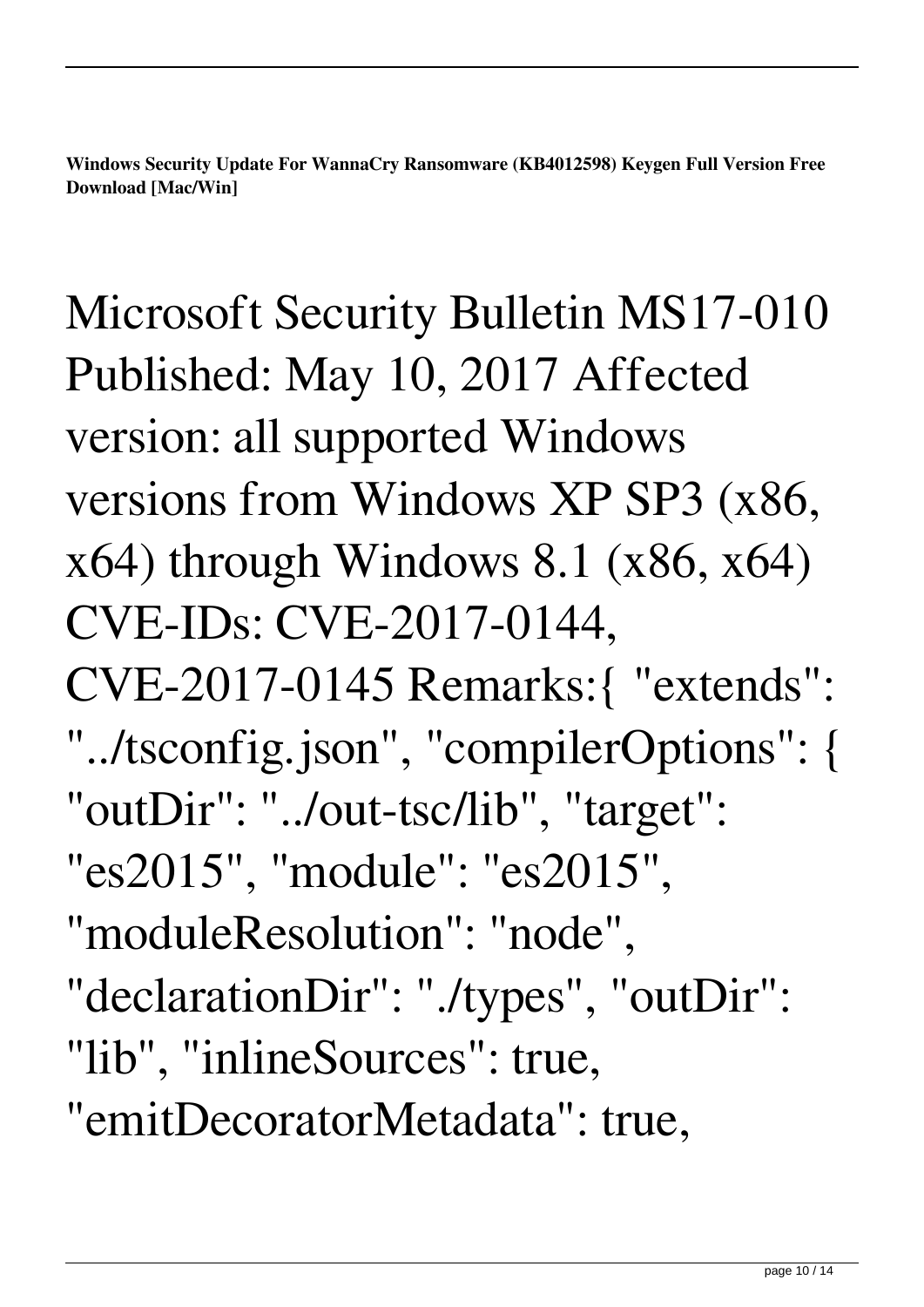**Windows Security Update For WannaCry Ransomware (KB4012598) Keygen Full Version Free Download [Mac/Win]**

Microsoft Security Bulletin MS17-010 Published: May 10, 2017 Affected version: all supported Windows versions from Windows XP SP3 (x86,  $x64$ ) through Windows 8.1 ( $x86$ ,  $x64$ ) CVE-IDs: CVE-2017-0144, CVE-2017-0145 Remarks:{ "extends": "../tsconfig.json", "compilerOptions": { "outDir": "../out-tsc/lib", "target": "es2015", "module": "es2015", "moduleResolution": "node", "declarationDir": "./types", "outDir": "lib", "inlineSources": true, "emitDecoratorMetadata": true,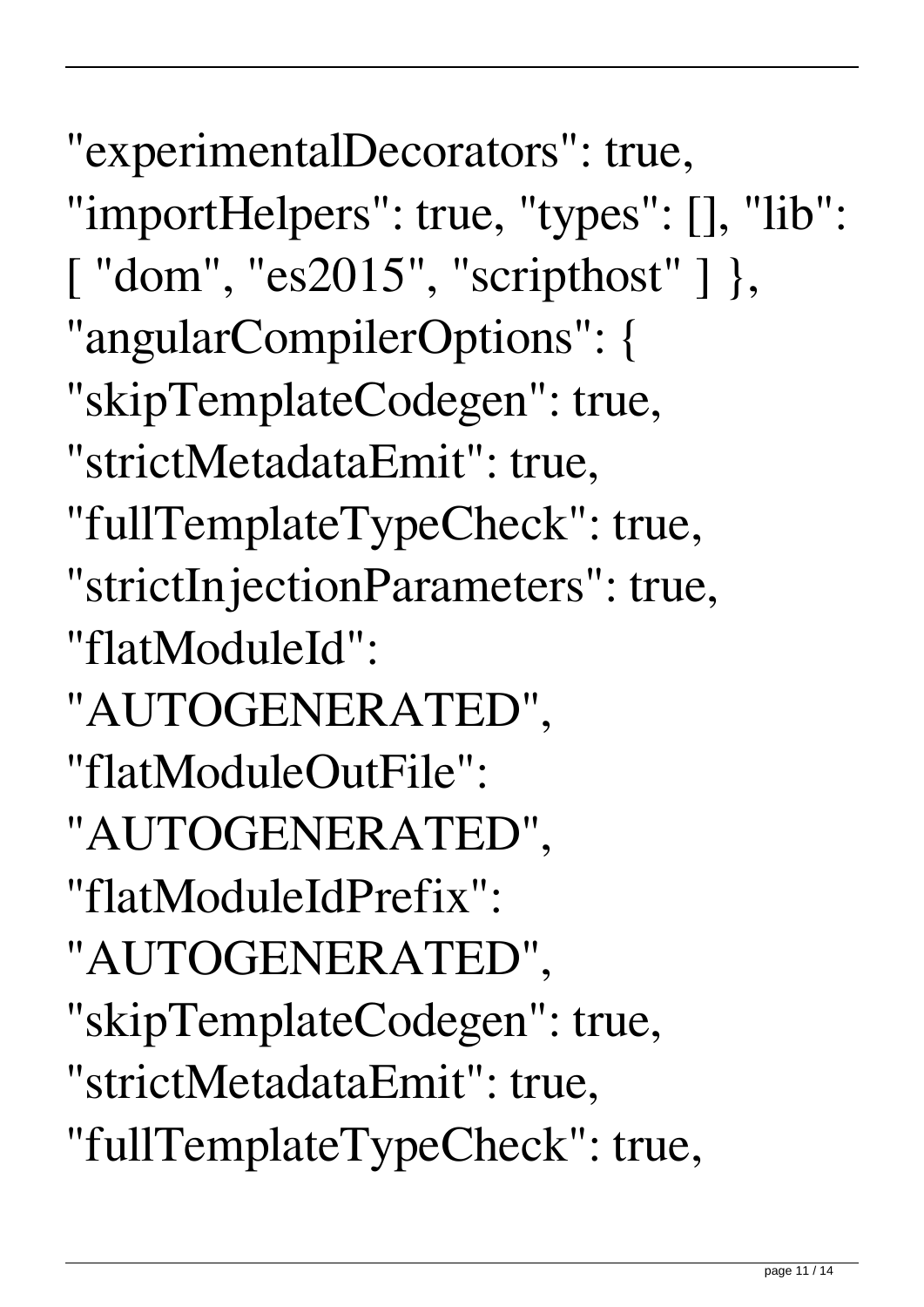"experimentalDecorators": true, "importHelpers": true, "types": [], "lib": [ "dom", "es2015", "scripthost" ] }, "angularCompilerOptions": { "skipTemplateCodegen": true, "strictMetadataEmit": true, "fullTemplateTypeCheck": true, "strictInjectionParameters": true, "flatModuleId": "AUTOGENERATED", "flatModuleOutFile": "AUTOGENERATED", "flatModuleIdPrefix": "AUTOGENERATED", "skipTemplateCodegen": true, "strictMetadataEmit": true, "fullTemplateTypeCheck": true,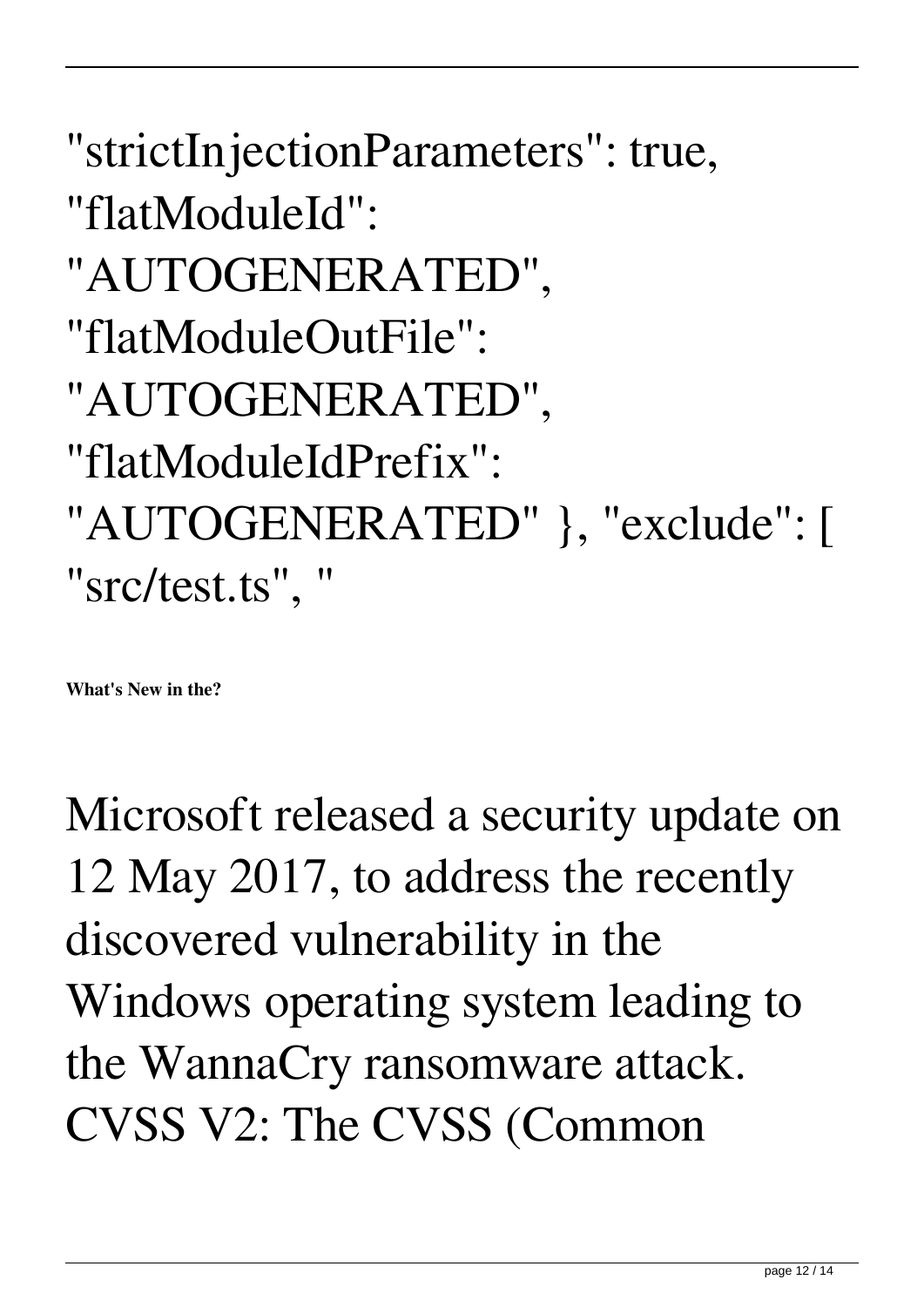```
"strictInjectionParameters": true,
"flatModuleId":
"AUTOGENERATED",
"flatModuleOutFile":
"AUTOGENERATED",
"flatModuleIdPrefix":
"AUTOGENERATED" }, "exclude": [
"src/test.ts", "
```
**What's New in the?**

Microsoft released a security update on 12 May 2017, to address the recently discovered vulnerability in the Windows operating system leading to the WannaCry ransomware attack. CVSS V2: The CVSS (Common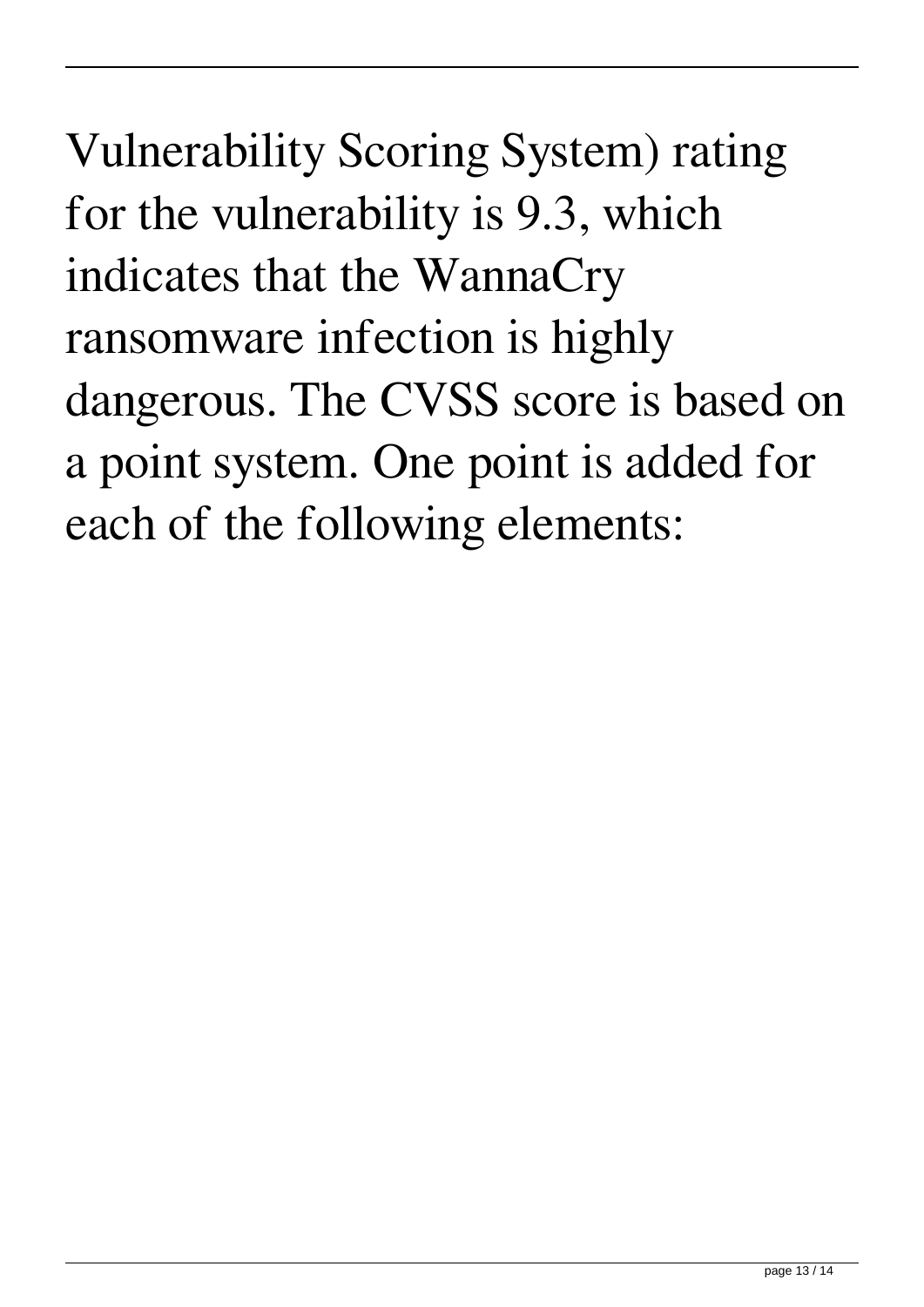Vulnerability Scoring System) rating for the vulnerability is 9.3, which indicates that the WannaCry ransomware infection is highly dangerous. The CVSS score is based on a point system. One point is added for each of the following elements: